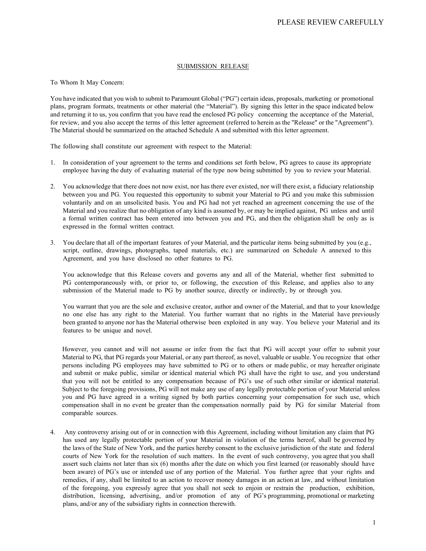## SUBMISSION RELEASE

To Whom It May Concern:

You have indicated that you wish to submit to Paramount Global ("PG") certain ideas, proposals, marketing or promotional plans, program formats, treatments or other material (the "Material"). By signing this letter in the space indicated below and returning it to us, you confirm that you have read the enclosed PG policy concerning the acceptance of the Material, for review, and you also accept the terms of this letter agreement (referred to herein as the "Release" or the "Agreement"). The Material should be summarized on the attached Schedule A and submitted with this letter agreement.

The following shall constitute our agreement with respect to the Material:

- 1. In consideration of your agreement to the terms and conditions set forth below, PG agrees to cause its appropriate employee having the duty of evaluating material of the type now being submitted by you to review your Material.
- 2. You acknowledge that there does not now exist, nor has there ever existed, nor will there exist, a fiduciary relationship between you and PG. You requested this opportunity to submit your Material to PG and you make this submission voluntarily and on an unsolicited basis. You and PG had not yet reached an agreement concerning the use of the Material and you realize that no obligation of any kind is assumed by, or may be implied against, PG unless and until a formal written contract has been entered into between you and PG, and then the obligation shall be only as is expressed in the formal written contract.
- 3. You declare that all of the important features of your Material, and the particular items being submitted by you (e.g., script, outline, drawings, photographs, taped materials, etc.) are summarized on Schedule A annexed to this Agreement, and you have disclosed no other features to PG.

You acknowledge that this Release covers and governs any and all of the Material, whether first submitted to PG contemporaneously with, or prior to, or following, the execution of this Release, and applies also to any submission of the Material made to PG by another source, directly or indirectly, by or through you.

You warrant that you are the sole and exclusive creator, author and owner of the Material, and that to your knowledge no one else has any right to the Material. You further warrant that no rights in the Material have previously been granted to anyone nor has the Material otherwise been exploited in any way. You believe your Material and its features to be unique and novel.

However, you cannot and will not assume or infer from the fact that PG will accept your offer to submit your Material to PG, that PG regards your Material, or any part thereof, as novel, valuable or usable. You recognize that other persons including PG employees may have submitted to PG or to others or made public, or may hereafter originate and submit or make public, similar or identical material which PG shall have the right to use, and you understand that you will not be entitled to any compensation because of PG's use of such other similar or identical material. Subject to the foregoing provisions, PG will not make any use of any legally protectable portion of your Material unless you and PG have agreed in a writing signed by both parties concerning your compensation for such use, which compensation shall in no event be greater than the compensation normally paid by PG for similar Material from comparable sources.

4. Any controversy arising out of or in connection with this Agreement, including without limitation any claim that PG has used any legally protectable portion of your Material in violation of the terms hereof, shall be governed by the laws of the State of New York, and the parties hereby consent to the exclusive jurisdiction of the state and federal courts of New York for the resolution of such matters. In the event of such controversy, you agree that you shall assert such claims not later than six (6) months after the date on which you first learned (or reasonably should have been aware) of PG's use or intended use of any portion of the Material. You further agree that your rights and remedies, if any, shall be limited to an action to recover money damages in an action at law, and without limitation of the foregoing, you expressly agree that you shall not seek to enjoin or restrain the production, exhibition, distribution, licensing, advertising, and/or promotion of any of PG's programming, promotional or marketing plans, and/or any of the subsidiary rights in connection therewith.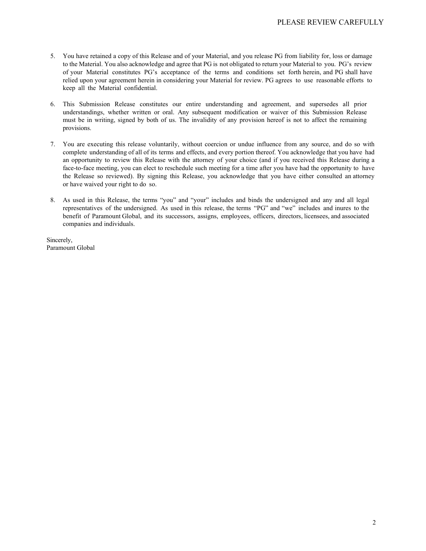- 5. You have retained a copy of this Release and of your Material, and you release PG from liability for, loss or damage to the Material. You also acknowledge and agree that PG is not obligated to return your Material to you. PG's review of your Material constitutes PG's acceptance of the terms and conditions set forth herein, and PG shall have relied upon your agreement herein in considering your Material for review. PG agrees to use reasonable efforts to keep all the Material confidential.
- 6. This Submission Release constitutes our entire understanding and agreement, and supersedes all prior understandings, whether written or oral. Any subsequent modification or waiver of this Submission Release must be in writing, signed by both of us. The invalidity of any provision hereof is not to affect the remaining provisions.
- 7. You are executing this release voluntarily, without coercion or undue influence from any source, and do so with complete understanding of all of its terms and effects, and every portion thereof. You acknowledge that you have had an opportunity to review this Release with the attorney of your choice (and if you received this Release during a face-to-face meeting, you can elect to reschedule such meeting for a time after you have had the opportunity to have the Release so reviewed). By signing this Release, you acknowledge that you have either consulted an attorney or have waived your right to do so.
- 8. As used in this Release, the terms "you" and "your" includes and binds the undersigned and any and all legal representatives of the undersigned. As used in this release, the terms "PG" and "we" includes and inures to the benefit of Paramount Global, and its successors, assigns, employees, officers, directors, licensees, and associated companies and individuals.

Sincerely, Paramount Global